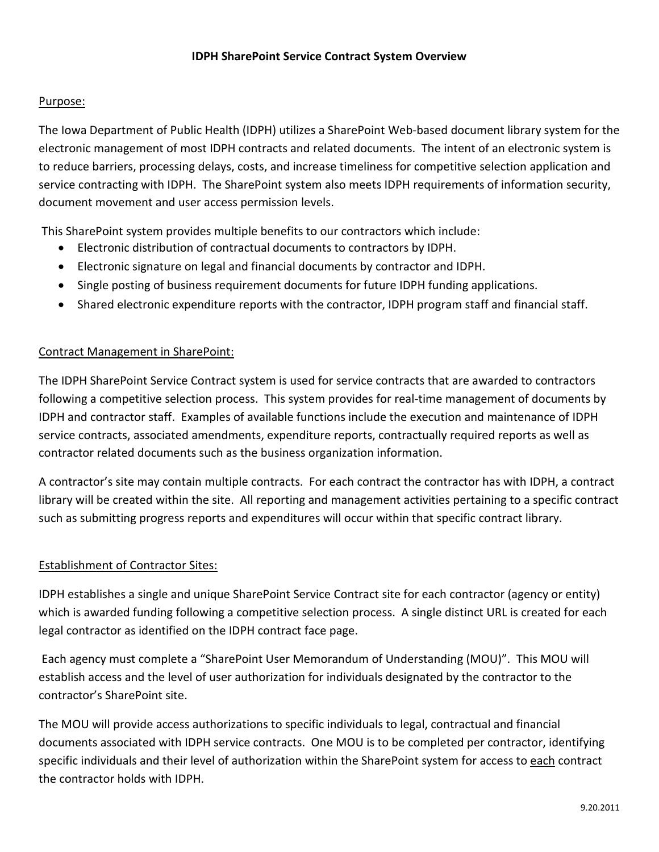## Purpose:

The Iowa Department of Public Health (IDPH) utilizes a SharePoint Web-based document library system for the electronic management of most IDPH contracts and related documents. The intent of an electronic system is to reduce barriers, processing delays, costs, and increase timeliness for competitive selection application and service contracting with IDPH. The SharePoint system also meets IDPH requirements of information security, document movement and user access permission levels.

This SharePoint system provides multiple benefits to our contractors which include:

- Electronic distribution of contractual documents to contractors by IDPH.
- Electronic signature on legal and financial documents by contractor and IDPH.
- Single posting of business requirement documents for future IDPH funding applications.
- Shared electronic expenditure reports with the contractor, IDPH program staff and financial staff.

## Contract Management in SharePoint:

The IDPH SharePoint Service Contract system is used for service contracts that are awarded to contractors following a competitive selection process. This system provides for real-time management of documents by IDPH and contractor staff. Examples of available functions include the execution and maintenance of IDPH service contracts, associated amendments, expenditure reports, contractually required reports as well as contractor related documents such as the business organization information.

A contractor's site may contain multiple contracts. For each contract the contractor has with IDPH, a contract library will be created within the site. All reporting and management activities pertaining to a specific contract such as submitting progress reports and expenditures will occur within that specific contract library.

## Establishment of Contractor Sites:

IDPH establishes a single and unique SharePoint Service Contract site for each contractor (agency or entity) which is awarded funding following a competitive selection process. A single distinct URL is created for each legal contractor as identified on the IDPH contract face page.

Each agency must complete a "SharePoint User Memorandum of Understanding (MOU)". This MOU will establish access and the level of user authorization for individuals designated by the contractor to the contractor's SharePoint site.

The MOU will provide access authorizations to specific individuals to legal, contractual and financial documents associated with IDPH service contracts. One MOU is to be completed per contractor, identifying specific individuals and their level of authorization within the SharePoint system for access to each contract the contractor holds with IDPH.